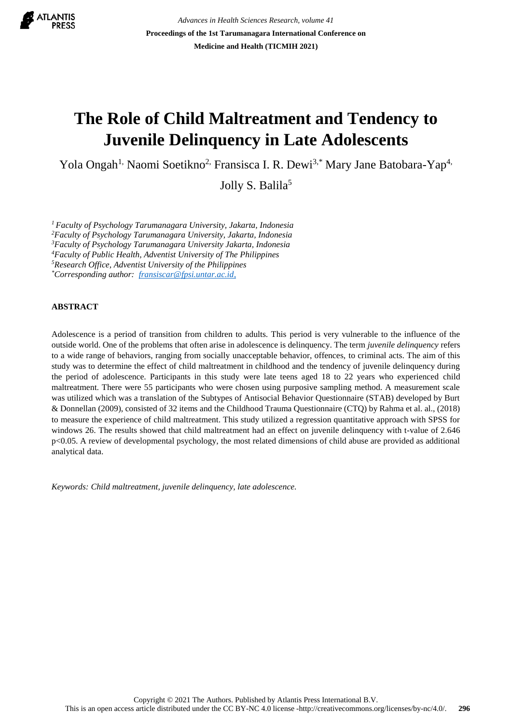

*Advances in Health Sciences Research, volume 41* **Proceedings of the 1st Tarumanagara International Conference on Medicine and Health (TICMIH 2021)**

# **The Role of Child Maltreatment and Tendency to Juvenile Delinquency in Late Adolescents**

Yola Ongah<sup>1,</sup> Naomi Soetikno<sup>2,</sup> Fransisca I. R. Dewi<sup>3,\*</sup> Mary Jane Batobara-Yap<sup>4,</sup>

Jolly S. Balila<sup>5</sup>

*Faculty of Psychology Tarumanagara University, Jakarta, Indonesia Faculty of Psychology Tarumanagara University, Jakarta, Indonesia Faculty of Psychology Tarumanagara University Jakarta, Indonesia Faculty of Public Health, Adventist University of The Philippines Research Office, Adventist University of the Philippines \*Corresponding author: [fransiscar@fpsi.untar.ac.id,](mailto:fransiscar@fpsi.untar.ac.id)*

### **ABSTRACT**

Adolescence is a period of transition from children to adults. This period is very vulnerable to the influence of the outside world. One of the problems that often arise in adolescence is delinquency. The term *juvenile delinquency* refers to a wide range of behaviors, ranging from socially unacceptable behavior, offences, to criminal acts. The aim of this study was to determine the effect of child maltreatment in childhood and the tendency of juvenile delinquency during the period of adolescence. Participants in this study were late teens aged 18 to 22 years who experienced child maltreatment. There were 55 participants who were chosen using purposive sampling method. A measurement scale was utilized which was a translation of the Subtypes of Antisocial Behavior Questionnaire (STAB) developed by Burt & Donnellan (2009), consisted of 32 items and the Childhood Trauma Questionnaire (CTQ) by Rahma et al. al., (2018) to measure the experience of child maltreatment. This study utilized a regression quantitative approach with SPSS for windows 26. The results showed that child maltreatment had an effect on juvenile delinquency with t-value of 2.646 p<0.05. A review of developmental psychology, the most related dimensions of child abuse are provided as additional analytical data.

*Keywords: Child maltreatment, juvenile delinquency, late adolescence.*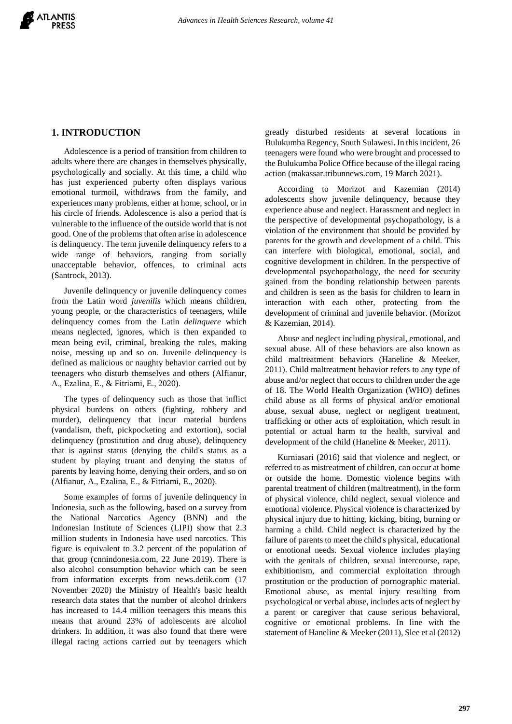# **1. INTRODUCTION**

Adolescence is a period of transition from children to adults where there are changes in themselves physically, psychologically and socially. At this time, a child who has just experienced puberty often displays various emotional turmoil, withdraws from the family, and experiences many problems, either at home, school, or in his circle of friends. Adolescence is also a period that is vulnerable to the influence of the outside world that is not good. One of the problems that often arise in adolescence is delinquency. The term juvenile delinquency refers to a wide range of behaviors, ranging from socially unacceptable behavior, offences, to criminal acts (Santrock, 2013).

Juvenile delinquency or juvenile delinquency comes from the Latin word *juvenilis* which means children, young people, or the characteristics of teenagers, while delinquency comes from the Latin *delinquere* which means neglected, ignores, which is then expanded to mean being evil, criminal, breaking the rules, making noise, messing up and so on. Juvenile delinquency is defined as malicious or naughty behavior carried out by teenagers who disturb themselves and others (Alfianur, A., Ezalina, E., & Fitriami, E., 2020).

The types of delinquency such as those that inflict physical burdens on others (fighting, robbery and murder), delinquency that incur material burdens (vandalism, theft, pickpocketing and extortion), social delinquency (prostitution and drug abuse), delinquency that is against status (denying the child's status as a student by playing truant and denying the status of parents by leaving home, denying their orders, and so on (Alfianur, A., Ezalina, E., & Fitriami, E., 2020).

Some examples of forms of juvenile delinquency in Indonesia, such as the following, based on a survey from the National Narcotics Agency (BNN) and the Indonesian Institute of Sciences (LIPI) show that 2.3 million students in Indonesia have used narcotics. This figure is equivalent to 3.2 percent of the population of that group (cnnindonesia.com, 22 June 2019). There is also alcohol consumption behavior which can be seen from information excerpts from news.detik.com (17 November 2020) the Ministry of Health's basic health research data states that the number of alcohol drinkers has increased to 14.4 million teenagers this means this means that around 23% of adolescents are alcohol drinkers. In addition, it was also found that there were illegal racing actions carried out by teenagers which

greatly disturbed residents at several locations in Bulukumba Regency, South Sulawesi. In this incident, 26 teenagers were found who were brought and processed to the Bulukumba Police Office because of the illegal racing action (makassar.tribunnews.com, 19 March 2021).

According to Morizot and Kazemian (2014) adolescents show juvenile delinquency, because they experience abuse and neglect. Harassment and neglect in the perspective of developmental psychopathology, is a violation of the environment that should be provided by parents for the growth and development of a child. This can interfere with biological, emotional, social, and cognitive development in children. In the perspective of developmental psychopathology, the need for security gained from the bonding relationship between parents and children is seen as the basis for children to learn in interaction with each other, protecting from the development of criminal and juvenile behavior. (Morizot & Kazemian, 2014).

Abuse and neglect including physical, emotional, and sexual abuse. All of these behaviors are also known as child maltreatment behaviors (Haneline & Meeker, 2011). Child maltreatment behavior refers to any type of abuse and/or neglect that occurs to children under the age of 18. The World Health Organization (WHO) defines child abuse as all forms of physical and/or emotional abuse, sexual abuse, neglect or negligent treatment, trafficking or other acts of exploitation, which result in potential or actual harm to the health, survival and development of the child (Haneline & Meeker, 2011).

Kurniasari (2016) said that violence and neglect, or referred to as mistreatment of children, can occur at home or outside the home. Domestic violence begins with parental treatment of children (maltreatment), in the form of physical violence, child neglect, sexual violence and emotional violence. Physical violence is characterized by physical injury due to hitting, kicking, biting, burning or harming a child. Child neglect is characterized by the failure of parents to meet the child's physical, educational or emotional needs. Sexual violence includes playing with the genitals of children, sexual intercourse, rape, exhibitionism, and commercial exploitation through prostitution or the production of pornographic material. Emotional abuse, as mental injury resulting from psychological or verbal abuse, includes acts of neglect by a parent or caregiver that cause serious behavioral, cognitive or emotional problems. In line with the statement of Haneline & Meeker (2011), Slee et al (2012)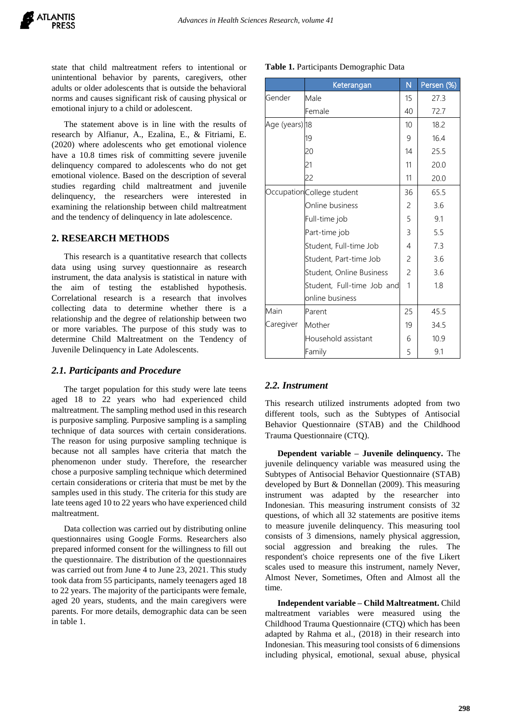state that child maltreatment refers to intentional or unintentional behavior by parents, caregivers, other adults or older adolescents that is outside the behavioral norms and causes significant risk of causing physical or emotional injury to a child or adolescent.

The statement above is in line with the results of research by Alfianur, A., Ezalina, E., & Fitriami, E. (2020) where adolescents who get emotional violence have a 10.8 times risk of committing severe juvenile delinquency compared to adolescents who do not get emotional violence. Based on the description of several studies regarding child maltreatment and juvenile delinquency, the researchers were interested in examining the relationship between child maltreatment and the tendency of delinquency in late adolescence.

## **2. RESEARCH METHODS**

This research is a quantitative research that collects data using using survey questionnaire as research instrument, the data analysis is statistical in nature with the aim of testing the established hypothesis. Correlational research is a research that involves collecting data to determine whether there is a relationship and the degree of relationship between two or more variables. The purpose of this study was to determine Child Maltreatment on the Tendency of Juvenile Delinquency in Late Adolescents.

#### *2.1. Participants and Procedure*

The target population for this study were late teens aged 18 to 22 years who had experienced child maltreatment. The sampling method used in this research is purposive sampling. Purposive sampling is a sampling technique of data sources with certain considerations. The reason for using purposive sampling technique is because not all samples have criteria that match the phenomenon under study. Therefore, the researcher chose a purposive sampling technique which determined certain considerations or criteria that must be met by the samples used in this study. The criteria for this study are late teens aged 10 to 22 years who have experienced child maltreatment.

Data collection was carried out by distributing online questionnaires using Google Forms. Researchers also prepared informed consent for the willingness to fill out the questionnaire. The distribution of the questionnaires was carried out from June 4 to June 23, 2021. This study took data from 55 participants, namely teenagers aged 18 to 22 years. The majority of the participants were female, aged 20 years, students, and the main caregivers were parents. For more details, demographic data can be seen in table 1.

|                | Keterangan                 | N              | Persen (%) |  |  |
|----------------|----------------------------|----------------|------------|--|--|
| Gender         | Male                       | 15             | 27.3       |  |  |
|                | Female                     | 40             | 72.7       |  |  |
| Age (years) 18 |                            | 10             | 18.2       |  |  |
|                | 19                         | 9              | 16.4       |  |  |
|                | 20                         | 14             | 25.5       |  |  |
|                | 21                         | 11             | 20.0       |  |  |
|                | 22                         | 11             | 20.0       |  |  |
|                | OccupationCollege student  | 36             | 65.5       |  |  |
|                | Online business            | $\overline{c}$ | 3.6        |  |  |
|                | Full-time job              | 5              | 9.1        |  |  |
|                | Part-time job              | 3              | 5.5        |  |  |
|                | Student, Full-time Job     | 4              | 7.3        |  |  |
|                | Student, Part-time Job     | 2              | 3.6        |  |  |
|                | Student, Online Business   | $\overline{c}$ | 3.6        |  |  |
|                | Student, Full-time Job and | 1              | 1.8        |  |  |
|                | online business            |                |            |  |  |
| Main           | Parent                     |                | 45.5       |  |  |
| Caregiver      | Mother                     | 19             | 34.5       |  |  |
|                | Household assistant        | 6              | 10.9       |  |  |
|                | Family                     | 5              | 9.1        |  |  |

**Table 1.** Participants Demographic Data

## *2.2. Instrument*

This research utilized instruments adopted from two different tools, such as the Subtypes of Antisocial Behavior Questionnaire (STAB) and the Childhood Trauma Questionnaire (CTQ).

**Dependent variable – Juvenile delinquency.** The juvenile delinquency variable was measured using the Subtypes of Antisocial Behavior Questionnaire (STAB) developed by Burt & Donnellan (2009). This measuring instrument was adapted by the researcher into Indonesian. This measuring instrument consists of 32 questions, of which all 32 statements are positive items to measure juvenile delinquency. This measuring tool consists of 3 dimensions, namely physical aggression, social aggression and breaking the rules. The respondent's choice represents one of the five Likert scales used to measure this instrument, namely Never, Almost Never, Sometimes, Often and Almost all the time.

**Independent variable – Child Maltreatment.** Child maltreatment variables were measured using the Childhood Trauma Questionnaire (CTQ) which has been adapted by Rahma et al., (2018) in their research into Indonesian. This measuring tool consists of 6 dimensions including physical, emotional, sexual abuse, physical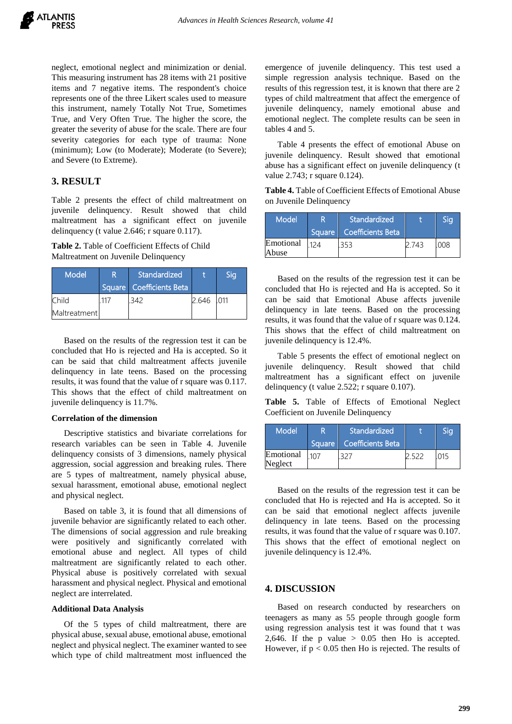neglect, emotional neglect and minimization or denial. This measuring instrument has 28 items with 21 positive items and 7 negative items. The respondent's choice represents one of the three Likert scales used to measure this instrument, namely Totally Not True, Sometimes True, and Very Often True. The higher the score, the greater the severity of abuse for the scale. There are four severity categories for each type of trauma: None (minimum); Low (to Moderate); Moderate (to Severe); and Severe (to Extreme).

# **3. RESULT**

Table 2 presents the effect of child maltreatment on juvenile delinquency. Result showed that child maltreatment has a significant effect on juvenile delinquency (t value 2.646; r square 0.117).

**Table 2.** Table of Coefficient Effects of Child Maltreatment on Juvenile Delinquency

| Model        | R | Standardized               |       | Sig |
|--------------|---|----------------------------|-------|-----|
|              |   | Square   Coefficients Beta |       |     |
| Child        |   |                            | 2.646 | 011 |
| Maltreatment |   |                            |       |     |

Based on the results of the regression test it can be concluded that Ho is rejected and Ha is accepted. So it can be said that child maltreatment affects juvenile delinquency in late teens. Based on the processing results, it was found that the value of r square was 0.117. This shows that the effect of child maltreatment on juvenile delinquency is 11.7%.

#### **Correlation of the dimension**

Descriptive statistics and bivariate correlations for research variables can be seen in Table 4. Juvenile delinquency consists of 3 dimensions, namely physical aggression, social aggression and breaking rules. There are 5 types of maltreatment, namely physical abuse, sexual harassment, emotional abuse, emotional neglect and physical neglect.

Based on table 3, it is found that all dimensions of juvenile behavior are significantly related to each other. The dimensions of social aggression and rule breaking were positively and significantly correlated with emotional abuse and neglect. All types of child maltreatment are significantly related to each other. Physical abuse is positively correlated with sexual harassment and physical neglect. Physical and emotional neglect are interrelated.

## **Additional Data Analysis**

Of the 5 types of child maltreatment, there are physical abuse, sexual abuse, emotional abuse, emotional neglect and physical neglect. The examiner wanted to see which type of child maltreatment most influenced the emergence of juvenile delinquency. This test used a simple regression analysis technique. Based on the results of this regression test, it is known that there are 2 types of child maltreatment that affect the emergence of juvenile delinquency, namely emotional abuse and emotional neglect. The complete results can be seen in tables 4 and 5.

Table 4 presents the effect of emotional Abuse on juvenile delinquency. Result showed that emotional abuse has a significant effect on juvenile delinquency (t value 2.743; r square 0.124).

**Table 4.** Table of Coefficient Effects of Emotional Abuse on Juvenile Delinquency

| Model              | Standardized               | STG |  |
|--------------------|----------------------------|-----|--|
|                    | Square   Coefficients Beta |     |  |
| Emotional<br>Abuse |                            |     |  |

Based on the results of the regression test it can be concluded that Ho is rejected and Ha is accepted. So it can be said that Emotional Abuse affects juvenile delinquency in late teens. Based on the processing results, it was found that the value of r square was 0.124. This shows that the effect of child maltreatment on juvenile delinquency is 12.4%.

Table 5 presents the effect of emotional neglect on juvenile delinquency. Result showed that child maltreatment has a significant effect on juvenile delinquency (t value 2.522; r square 0.107).

**Table 5.** Table of Effects of Emotional Neglect Coefficient on Juvenile Delinquency

| <b>Model</b>         | R | Standardized             |  |  |
|----------------------|---|--------------------------|--|--|
|                      |   | Square Coefficients Beta |  |  |
| Emotional<br>Neglect |   |                          |  |  |

Based on the results of the regression test it can be concluded that Ho is rejected and Ha is accepted. So it can be said that emotional neglect affects juvenile delinquency in late teens. Based on the processing results, it was found that the value of r square was 0.107. This shows that the effect of emotional neglect on juvenile delinquency is 12.4%.

# **4. DISCUSSION**

Based on research conducted by researchers on teenagers as many as 55 people through google form using regression analysis test it was found that t was 2,646. If the p value  $> 0.05$  then Ho is accepted. However, if  $p < 0.05$  then Ho is rejected. The results of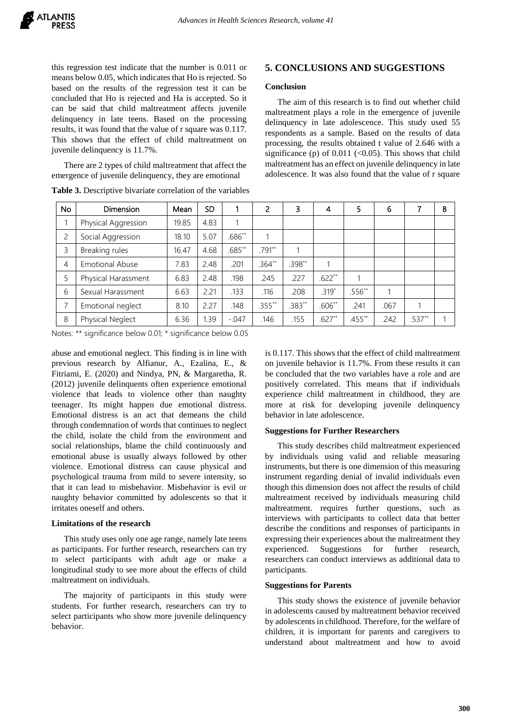this regression test indicate that the number is 0.011 or means below 0.05, which indicates that Ho is rejected. So based on the results of the regression test it can be concluded that Ho is rejected and Ha is accepted. So it can be said that child maltreatment affects juvenile delinquency in late teens. Based on the processing results, it was found that the value of r square was 0.117. This shows that the effect of child maltreatment on juvenile delinquency is 11.7%.

There are 2 types of child maltreatment that affect the emergence of juvenile delinquency, they are emotional

| <b>No</b> | <b>Dimension</b>       | Mean  | <b>SD</b> |          | 2         | 3        | $\overline{\mathbf{4}}$ | 5        | 6    | 7        | 8 |
|-----------|------------------------|-------|-----------|----------|-----------|----------|-------------------------|----------|------|----------|---|
| 1         | Physical Aggression    | 19.85 | 4.83      | 1        |           |          |                         |          |      |          |   |
| 2         | Social Aggression      | 18.10 | 5.07      | $.686**$ | 1         |          |                         |          |      |          |   |
| 3         | Breaking rules         | 16.47 | 4.68      | $.685**$ | .791**    |          |                         |          |      |          |   |
| 4         | <b>Emotional Abuse</b> | 7.83  | 2.48      | .201     | $.364**$  | $.398**$ |                         |          |      |          |   |
| 5         | Physical Harassment    | 6.83  | 2.48      | .198     | .245      | .227     | $.622**$                |          |      |          |   |
| 6         | Sexual Harassment      | 6.63  | 2.21      | .133     | .116      | .208     | $.319*$                 | $.556**$ |      |          |   |
| 7         | Emotional neglect      | 8.10  | 2.27      | .148     | $.355***$ | $.383**$ | $.606**$                | .241     | .067 | 1        |   |
| 8         | Physical Neglect       | 6.36  | 1.39      | $-.047$  | .146      | .155     | $.627**$                | $.455**$ | .242 | $.537**$ |   |

**Table 3.** Descriptive bivariate correlation of the variables

## **5. CONCLUSIONS AND SUGGESTIONS**

#### **Conclusion**

The aim of this research is to find out whether child maltreatment plays a role in the emergence of juvenile delinquency in late adolescence. This study used 55 respondents as a sample. Based on the results of data processing, the results obtained t value of 2.646 with a significance (p) of  $0.011$  (<0.05). This shows that child maltreatment has an effect on juvenile delinquency in late adolescence. It was also found that the value of r square

Notes: \*\* significance below 0.01; \* significance below 0.05

abuse and emotional neglect. This finding is in line with previous research by Alfianur, A., Ezalina, E., & Fitriami, E. (2020) and Nindya, PN, & Margaretha, R. (2012) juvenile delinquents often experience emotional violence that leads to violence other than naughty teenager. Its might happen due emotional distress. Emotional distress is an act that demeans the child through condemnation of words that continues to neglect the child, isolate the child from the environment and social relationships, blame the child continuously and emotional abuse is usually always followed by other violence. Emotional distress can cause physical and psychological trauma from mild to severe intensity, so that it can lead to misbehavior. Misbehavior is evil or naughty behavior committed by adolescents so that it irritates oneself and others.

#### **Limitations of the research**

This study uses only one age range, namely late teens as participants. For further research, researchers can try to select participants with adult age or make a longitudinal study to see more about the effects of child maltreatment on individuals.

The majority of participants in this study were students. For further research, researchers can try to select participants who show more juvenile delinquency behavior.

is 0.117. This shows that the effect of child maltreatment on juvenile behavior is 11.7%. From these results it can be concluded that the two variables have a role and are positively correlated. This means that if individuals experience child maltreatment in childhood, they are more at risk for developing juvenile delinquency behavior in late adolescence.

## **Suggestions for Further Researchers**

This study describes child maltreatment experienced by individuals using valid and reliable measuring instruments, but there is one dimension of this measuring instrument regarding denial of invalid individuals even though this dimension does not affect the results of child maltreatment received by individuals measuring child maltreatment. requires further questions, such as interviews with participants to collect data that better describe the conditions and responses of participants in expressing their experiences about the maltreatment they experienced. Suggestions for further research, researchers can conduct interviews as additional data to participants.

#### **Suggestions for Parents**

This study shows the existence of juvenile behavior in adolescents caused by maltreatment behavior received by adolescents in childhood. Therefore, for the welfare of children, it is important for parents and caregivers to understand about maltreatment and how to avoid